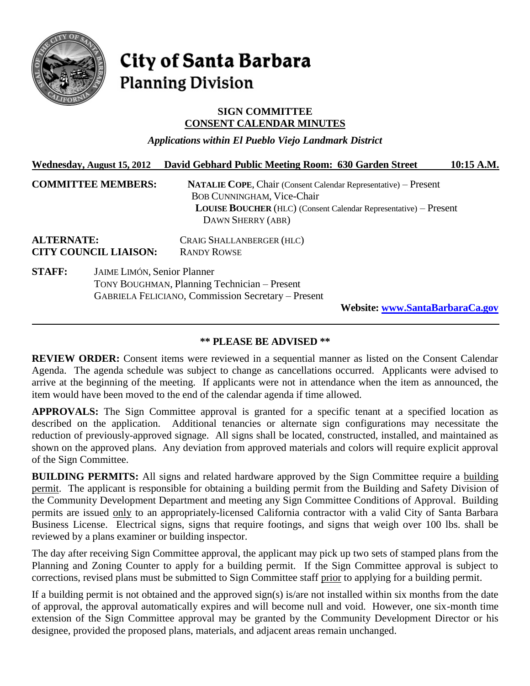

# **City of Santa Barbara Planning Division**

### **SIGN COMMITTEE CONSENT CALENDAR MINUTES**

*Applications within El Pueblo Viejo Landmark District*

|                                                   | Wednesday, August 15, 2012  | David Gebhard Public Meeting Room: 630 Garden Street                                                                                                                                                        | 10:15 A.M. |
|---------------------------------------------------|-----------------------------|-------------------------------------------------------------------------------------------------------------------------------------------------------------------------------------------------------------|------------|
|                                                   | <b>COMMITTEE MEMBERS:</b>   | <b>NATALIE COPE, Chair (Consent Calendar Representative) – Present</b><br><b>BOB CUNNINGHAM, Vice-Chair</b><br><b>LOUISE BOUCHER</b> (HLC) (Consent Calendar Representative) – Present<br>DAWN SHERRY (ABR) |            |
| <b>ALTERNATE:</b><br><b>CITY COUNCIL LIAISON:</b> |                             | CRAIG SHALLANBERGER (HLC)<br><b>RANDY ROWSE</b>                                                                                                                                                             |            |
| <b>STAFF:</b>                                     | JAIME LIMÓN, Senior Planner | TONY BOUGHMAN, Planning Technician – Present<br><b>GABRIELA FELICIANO, Commission Secretary - Present</b><br><b>Website: www.SantaBarbaraCa.gov</b>                                                         |            |

## **\*\* PLEASE BE ADVISED \*\***

**REVIEW ORDER:** Consent items were reviewed in a sequential manner as listed on the Consent Calendar Agenda. The agenda schedule was subject to change as cancellations occurred. Applicants were advised to arrive at the beginning of the meeting. If applicants were not in attendance when the item as announced, the item would have been moved to the end of the calendar agenda if time allowed.

**APPROVALS:** The Sign Committee approval is granted for a specific tenant at a specified location as described on the application. Additional tenancies or alternate sign configurations may necessitate the reduction of previously-approved signage. All signs shall be located, constructed, installed, and maintained as shown on the approved plans. Any deviation from approved materials and colors will require explicit approval of the Sign Committee.

**BUILDING PERMITS:** All signs and related hardware approved by the Sign Committee require a building permit. The applicant is responsible for obtaining a building permit from the Building and Safety Division of the Community Development Department and meeting any Sign Committee Conditions of Approval. Building permits are issued only to an appropriately-licensed California contractor with a valid City of Santa Barbara Business License. Electrical signs, signs that require footings, and signs that weigh over 100 lbs. shall be reviewed by a plans examiner or building inspector.

The day after receiving Sign Committee approval, the applicant may pick up two sets of stamped plans from the Planning and Zoning Counter to apply for a building permit. If the Sign Committee approval is subject to corrections, revised plans must be submitted to Sign Committee staff prior to applying for a building permit.

If a building permit is not obtained and the approved sign(s) is/are not installed within six months from the date of approval, the approval automatically expires and will become null and void. However, one six-month time extension of the Sign Committee approval may be granted by the Community Development Director or his designee, provided the proposed plans, materials, and adjacent areas remain unchanged.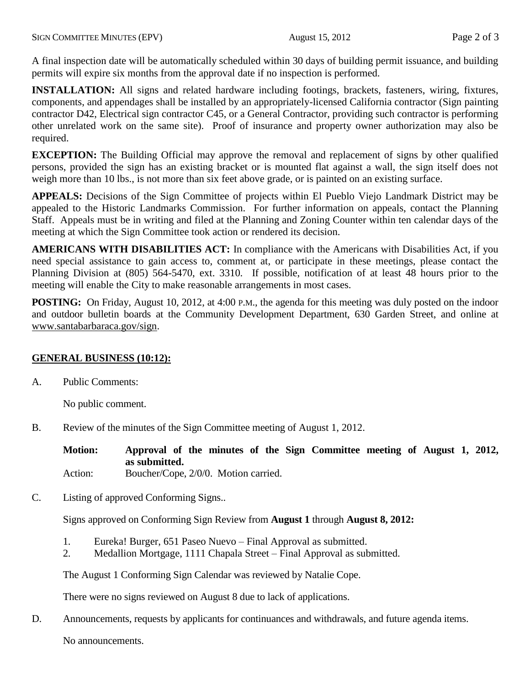A final inspection date will be automatically scheduled within 30 days of building permit issuance, and building permits will expire six months from the approval date if no inspection is performed.

**INSTALLATION:** All signs and related hardware including footings, brackets, fasteners, wiring, fixtures, components, and appendages shall be installed by an appropriately-licensed California contractor (Sign painting contractor D42, Electrical sign contractor C45, or a General Contractor, providing such contractor is performing other unrelated work on the same site). Proof of insurance and property owner authorization may also be required.

**EXCEPTION:** The Building Official may approve the removal and replacement of signs by other qualified persons, provided the sign has an existing bracket or is mounted flat against a wall, the sign itself does not weigh more than 10 lbs., is not more than six feet above grade, or is painted on an existing surface.

**APPEALS:** Decisions of the Sign Committee of projects within El Pueblo Viejo Landmark District may be appealed to the Historic Landmarks Commission. For further information on appeals, contact the Planning Staff. Appeals must be in writing and filed at the Planning and Zoning Counter within ten calendar days of the meeting at which the Sign Committee took action or rendered its decision.

**AMERICANS WITH DISABILITIES ACT:** In compliance with the Americans with Disabilities Act, if you need special assistance to gain access to, comment at, or participate in these meetings, please contact the Planning Division at (805) 564-5470, ext. 3310. If possible, notification of at least 48 hours prior to the meeting will enable the City to make reasonable arrangements in most cases.

**POSTING:** On Friday, August 10, 2012, at 4:00 P.M., the agenda for this meeting was duly posted on the indoor and outdoor bulletin boards at the Community Development Department, 630 Garden Street, and online at *<sup>H</sup>*[www.santabarbaraca.gov/sign.](file://chgarden/ComDev/Group%20Folders/PLAN/Sign%20Committee/SC%20Minutes/2012%20SGN%20Final%20Minutes/Hwww.santabarbaraca.gov/sign)

# **GENERAL BUSINESS (10:12):**

A. Public Comments:

No public comment.

B. Review of the minutes of the Sign Committee meeting of August 1, 2012.

**Motion: Approval of the minutes of the Sign Committee meeting of August 1, 2012, as submitted.**

Action: Boucher/Cope, 2/0/0. Motion carried.

C. Listing of approved Conforming Signs..

Signs approved on Conforming Sign Review from **August 1** through **August 8, 2012:**

- 1. Eureka! Burger, 651 Paseo Nuevo Final Approval as submitted.
- 2. Medallion Mortgage, 1111 Chapala Street Final Approval as submitted.

The August 1 Conforming Sign Calendar was reviewed by Natalie Cope.

There were no signs reviewed on August 8 due to lack of applications.

D. Announcements, requests by applicants for continuances and withdrawals, and future agenda items.

No announcements.